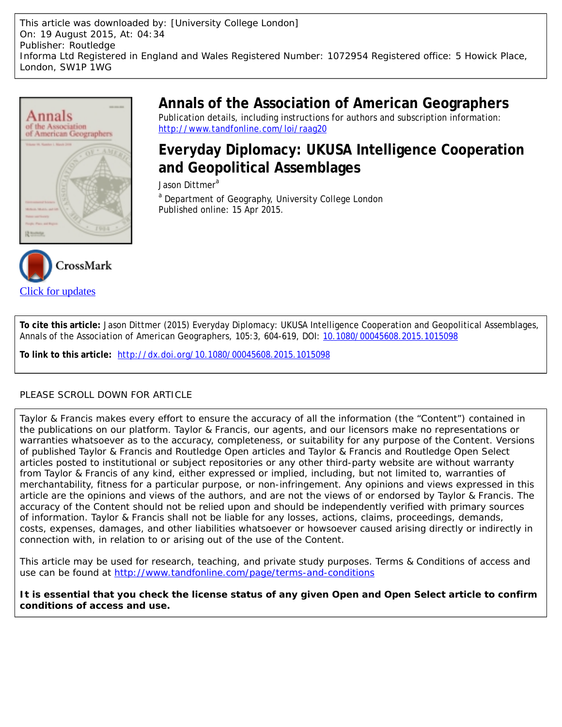This article was downloaded by: [University College London] On: 19 August 2015, At: 04:34 Publisher: Routledge Informa Ltd Registered in England and Wales Registered Number: 1072954 Registered office: 5 Howick Place, London, SW1P 1WG





# **Annals of the Association of American Geographers**

Publication details, including instructions for authors and subscription information: <http://www.tandfonline.com/loi/raag20>

# **Everyday Diplomacy: UKUSA Intelligence Cooperation and Geopolitical Assemblages**

Jason Dittmer<sup>a</sup>

<sup>a</sup> Department of Geography, University College London Published online: 15 Apr 2015.

**To cite this article:** Jason Dittmer (2015) Everyday Diplomacy: UKUSA Intelligence Cooperation and Geopolitical Assemblages, Annals of the Association of American Geographers, 105:3, 604-619, DOI: [10.1080/00045608.2015.1015098](http://www.tandfonline.com/action/showCitFormats?doi=10.1080/00045608.2015.1015098)

**To link to this article:** <http://dx.doi.org/10.1080/00045608.2015.1015098>

# PLEASE SCROLL DOWN FOR ARTICLE

Taylor & Francis makes every effort to ensure the accuracy of all the information (the "Content") contained in the publications on our platform. Taylor & Francis, our agents, and our licensors make no representations or warranties whatsoever as to the accuracy, completeness, or suitability for any purpose of the Content. Versions of published Taylor & Francis and Routledge Open articles and Taylor & Francis and Routledge Open Select articles posted to institutional or subject repositories or any other third-party website are without warranty from Taylor & Francis of any kind, either expressed or implied, including, but not limited to, warranties of merchantability, fitness for a particular purpose, or non-infringement. Any opinions and views expressed in this article are the opinions and views of the authors, and are not the views of or endorsed by Taylor & Francis. The accuracy of the Content should not be relied upon and should be independently verified with primary sources of information. Taylor & Francis shall not be liable for any losses, actions, claims, proceedings, demands, costs, expenses, damages, and other liabilities whatsoever or howsoever caused arising directly or indirectly in connection with, in relation to or arising out of the use of the Content.

This article may be used for research, teaching, and private study purposes. Terms & Conditions of access and use can be found at <http://www.tandfonline.com/page/terms-and-conditions>

**It is essential that you check the license status of any given Open and Open Select article to confirm conditions of access and use.**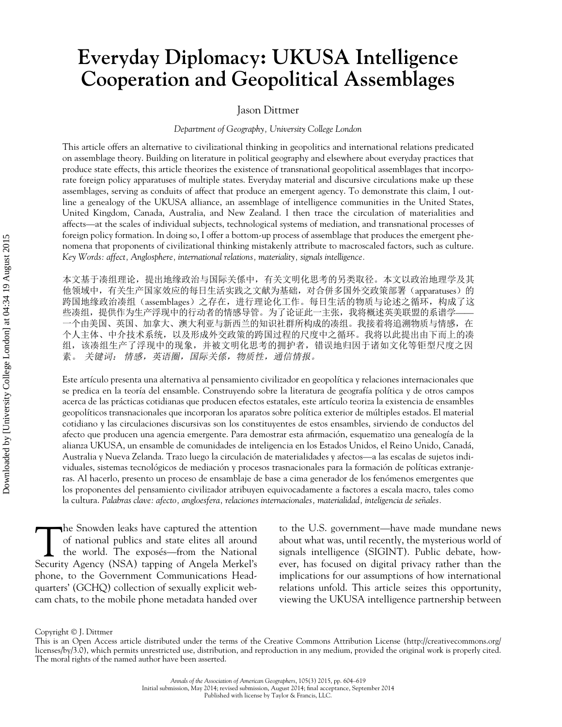# Everyday Diplomacy: UKUSA Intelligence Cooperation and Geopolitical Assemblages

Jason Dittmer

Department of Geography, University College London

This article offers an alternative to civilizational thinking in geopolitics and international relations predicated on assemblage theory. Building on literature in political geography and elsewhere about everyday practices that produce state effects, this article theorizes the existence of transnational geopolitical assemblages that incorporate foreign policy apparatuses of multiple states. Everyday material and discursive circulations make up these assemblages, serving as conduits of affect that produce an emergent agency. To demonstrate this claim, I outline a genealogy of the UKUSA alliance, an assemblage of intelligence communities in the United States, United Kingdom, Canada, Australia, and New Zealand. I then trace the circulation of materialities and affects—at the scales of individual subjects, technological systems of mediation, and transnational processes of foreign policy formation. In doing so, I offer a bottom-up process of assemblage that produces the emergent phenomena that proponents of civilizational thinking mistakenly attribute to macroscaled factors, such as culture. Key Words: affect, Anglosphere, international relations, materiality, signals intelligence.

本文基于凑组理论,提出地缘政治与国际关係中,有关文明化思考的另类取径。本文以政治地理学及其 他领域中,有关生产国家效应的每日生活实践之文献为基础,对合併多国外交政策部署(apparatuses)的 跨国地缘政治凑组(assemblages)之存在,进行理论化工作。每日生活的物质与论述之循环,构成了这 些凑组,提供作为生产浮现中的行动者的情感导管。为了论证此一主张,我将概述英美联盟的系谱学 一个由美国、英国、加拿大、澳大利亚与新西兰的知识社群所构成的凑组。我接着将追溯物质与情感,在 个人主体、中介技术系统,以及形成外交政策的跨国过程的尺度中之循环。我将以此提出由下而上的凑 组,该凑组生产了浮现中的现象,并被文明化思考的拥护者,错误地归因于诸如文化等钜型尺度之因 素。 关键词: 情感,英语圈,国际关係,物质性,通信情报。

Este artículo presenta una alternativa al pensamiento civilizador en geopolítica y relaciones internacionales que se predica en la teoría del ensamble. Construyendo sobre la literatura de geografía política y de otros campos acerca de las practicas cotidianas que producen efectos estatales, este artıculo teoriza la existencia de ensambles geopolíticos transnacionales que incorporan los aparatos sobre política exterior de múltiples estados. El material cotidiano y las circulaciones discursivas son los constituyentes de estos ensambles, sirviendo de conductos del afecto que producen una agencia emergente. Para demostrar esta afirmación, esquematizo una genealogía de la alianza UKUSA, un ensamble de comunidades de inteligencia en los Estados Unidos, el Reino Unido, Canada, Australia y Nueva Zelanda. Trazo luego la circulacion de materialidades y afectos—a las escalas de sujetos individuales, sistemas tecnológicos de mediación y procesos trasnacionales para la formación de políticas extranjeras. Al hacerlo, presento un proceso de ensamblaje de base a cima generador de los fenómenos emergentes que los proponentes del pensamiento civilizador atribuyen equivocadamente a factores a escala macro, tales como la cultura. Palabras clave: afecto, angloesfera, relaciones internacionales, materialidad, inteligencia de señales.

The Snowden leaks have captured the attention<br>of national publics and state elites all around<br>the world. The exposés—from the National<br>Security Agency (NSA) tanning of Angela Merkel's of national publics and state elites all around the world. The exposés—from the National Security Agency (NSA) tapping of Angela Merkel's phone, to the Government Communications Headquarters' (GCHQ) collection of sexually explicit webcam chats, to the mobile phone metadata handed over to the U.S. government—have made mundane news about what was, until recently, the mysterious world of signals intelligence (SIGINT). Public debate, however, has focused on digital privacy rather than the implications for our assumptions of how international relations unfold. This article seizes this opportunity, viewing the UKUSA intelligence partnership between

Copyright © J. Dittmer

This is an Open Access article distributed under the terms of the Creative Commons Attribution License (http://creativecommons.org/ licenses/by/3.0), which permits unrestricted use, distribution, and reproduction in any medium, provided the original work is properly cited. The moral rights of the named author have been asserted.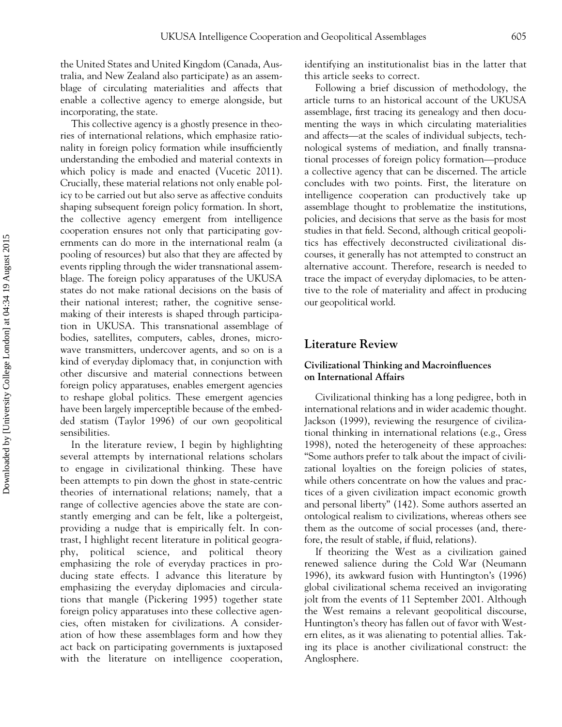the United States and United Kingdom (Canada, Australia, and New Zealand also participate) as an assemblage of circulating materialities and affects that enable a collective agency to emerge alongside, but incorporating, the state.

This collective agency is a ghostly presence in theories of international relations, which emphasize rationality in foreign policy formation while insufficiently understanding the embodied and material contexts in which policy is made and enacted (Vucetic 2011). Crucially, these material relations not only enable policy to be carried out but also serve as affective conduits shaping subsequent foreign policy formation. In short, the collective agency emergent from intelligence cooperation ensures not only that participating governments can do more in the international realm (a pooling of resources) but also that they are affected by events rippling through the wider transnational assemblage. The foreign policy apparatuses of the UKUSA states do not make rational decisions on the basis of their national interest; rather, the cognitive sensemaking of their interests is shaped through participation in UKUSA. This transnational assemblage of bodies, satellites, computers, cables, drones, microwave transmitters, undercover agents, and so on is a kind of everyday diplomacy that, in conjunction with other discursive and material connections between foreign policy apparatuses, enables emergent agencies to reshape global politics. These emergent agencies have been largely imperceptible because of the embedded statism (Taylor 1996) of our own geopolitical sensibilities.

In the literature review, I begin by highlighting several attempts by international relations scholars to engage in civilizational thinking. These have been attempts to pin down the ghost in state-centric theories of international relations; namely, that a range of collective agencies above the state are constantly emerging and can be felt, like a poltergeist, providing a nudge that is empirically felt. In contrast, I highlight recent literature in political geography, political science, and political theory emphasizing the role of everyday practices in producing state effects. I advance this literature by emphasizing the everyday diplomacies and circulations that mangle (Pickering 1995) together state foreign policy apparatuses into these collective agencies, often mistaken for civilizations. A consideration of how these assemblages form and how they act back on participating governments is juxtaposed with the literature on intelligence cooperation,

identifying an institutionalist bias in the latter that this article seeks to correct.

Following a brief discussion of methodology, the article turns to an historical account of the UKUSA assemblage, first tracing its genealogy and then documenting the ways in which circulating materialities and affects—at the scales of individual subjects, technological systems of mediation, and finally transnational processes of foreign policy formation—produce a collective agency that can be discerned. The article concludes with two points. First, the literature on intelligence cooperation can productively take up assemblage thought to problematize the institutions, policies, and decisions that serve as the basis for most studies in that field. Second, although critical geopolitics has effectively deconstructed civilizational discourses, it generally has not attempted to construct an alternative account. Therefore, research is needed to trace the impact of everyday diplomacies, to be attentive to the role of materiality and affect in producing our geopolitical world.

# Literature Review

#### Civilizational Thinking and Macroinfluences on International Affairs

Civilizational thinking has a long pedigree, both in international relations and in wider academic thought. Jackson (1999), reviewing the resurgence of civilizational thinking in international relations (e.g., Gress 1998), noted the heterogeneity of these approaches: "Some authors prefer to talk about the impact of civilizational loyalties on the foreign policies of states, while others concentrate on how the values and practices of a given civilization impact economic growth and personal liberty" (142). Some authors asserted an ontological realism to civilizations, whereas others see them as the outcome of social processes (and, therefore, the result of stable, if fluid, relations).

If theorizing the West as a civilization gained renewed salience during the Cold War (Neumann 1996), its awkward fusion with Huntington's (1996) global civilizational schema received an invigorating jolt from the events of 11 September 2001. Although the West remains a relevant geopolitical discourse, Huntington's theory has fallen out of favor with Western elites, as it was alienating to potential allies. Taking its place is another civilizational construct: the Anglosphere.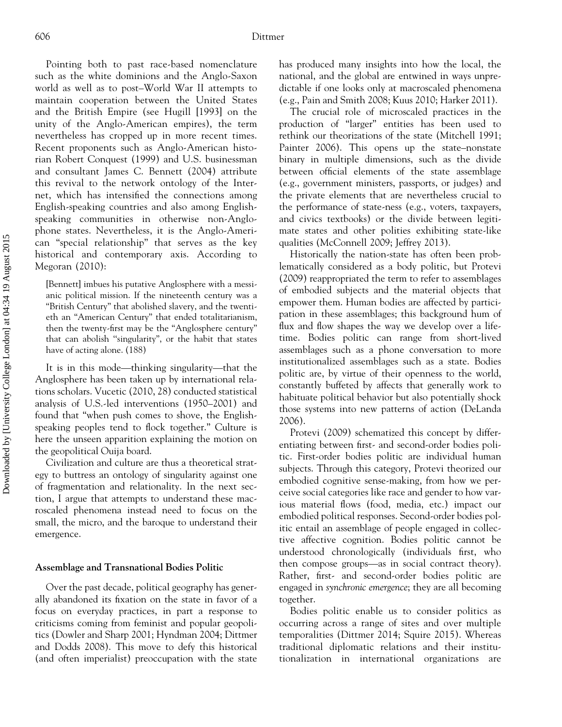Pointing both to past race-based nomenclature such as the white dominions and the Anglo-Saxon world as well as to post–World War II attempts to maintain cooperation between the United States and the British Empire (see Hugill [1993] on the unity of the Anglo-American empires), the term nevertheless has cropped up in more recent times. Recent proponents such as Anglo-American historian Robert Conquest (1999) and U.S. businessman and consultant James C. Bennett (2004) attribute this revival to the network ontology of the Internet, which has intensified the connections among English-speaking countries and also among Englishspeaking communities in otherwise non-Anglophone states. Nevertheless, it is the Anglo-American "special relationship" that serves as the key historical and contemporary axis. According to Megoran (2010):

[Bennett] imbues his putative Anglosphere with a messianic political mission. If the nineteenth century was a "British Century" that abolished slavery, and the twentieth an "American Century" that ended totalitarianism, then the twenty-first may be the "Anglosphere century" that can abolish ''singularity", or the habit that states have of acting alone. (188)

It is in this mode—thinking singularity—that the Anglosphere has been taken up by international relations scholars. Vucetic (2010, 28) conducted statistical analysis of U.S.-led interventions (1950–2001) and found that "when push comes to shove, the Englishspeaking peoples tend to flock together." Culture is here the unseen apparition explaining the motion on the geopolitical Ouija board.

Civilization and culture are thus a theoretical strategy to buttress an ontology of singularity against one of fragmentation and relationality. In the next section, I argue that attempts to understand these macroscaled phenomena instead need to focus on the small, the micro, and the baroque to understand their emergence.

#### Assemblage and Transnational Bodies Politic

Over the past decade, political geography has generally abandoned its fixation on the state in favor of a focus on everyday practices, in part a response to criticisms coming from feminist and popular geopolitics (Dowler and Sharp 2001; Hyndman 2004; Dittmer and Dodds 2008). This move to defy this historical (and often imperialist) preoccupation with the state

has produced many insights into how the local, the national, and the global are entwined in ways unpredictable if one looks only at macroscaled phenomena (e.g., Pain and Smith 2008; Kuus 2010; Harker 2011).

The crucial role of microscaled practices in the production of "larger" entities has been used to rethink our theorizations of the state (Mitchell 1991; Painter 2006). This opens up the state–nonstate binary in multiple dimensions, such as the divide between official elements of the state assemblage (e.g., government ministers, passports, or judges) and the private elements that are nevertheless crucial to the performance of state-ness (e.g., voters, taxpayers, and civics textbooks) or the divide between legitimate states and other polities exhibiting state-like qualities (McConnell 2009; Jeffrey 2013).

Historically the nation-state has often been problematically considered as a body politic, but Protevi (2009) reappropriated the term to refer to assemblages of embodied subjects and the material objects that empower them. Human bodies are affected by participation in these assemblages; this background hum of flux and flow shapes the way we develop over a lifetime. Bodies politic can range from short-lived assemblages such as a phone conversation to more institutionalized assemblages such as a state. Bodies politic are, by virtue of their openness to the world, constantly buffeted by affects that generally work to habituate political behavior but also potentially shock those systems into new patterns of action (DeLanda 2006).

Protevi (2009) schematized this concept by differentiating between first- and second-order bodies politic. First-order bodies politic are individual human subjects. Through this category, Protevi theorized our embodied cognitive sense-making, from how we perceive social categories like race and gender to how various material flows (food, media, etc.) impact our embodied political responses. Second-order bodies politic entail an assemblage of people engaged in collective affective cognition. Bodies politic cannot be understood chronologically (individuals first, who then compose groups—as in social contract theory). Rather, first- and second-order bodies politic are engaged in synchronic emergence; they are all becoming together.

Bodies politic enable us to consider politics as occurring across a range of sites and over multiple temporalities (Dittmer 2014; Squire 2015). Whereas traditional diplomatic relations and their institutionalization in international organizations are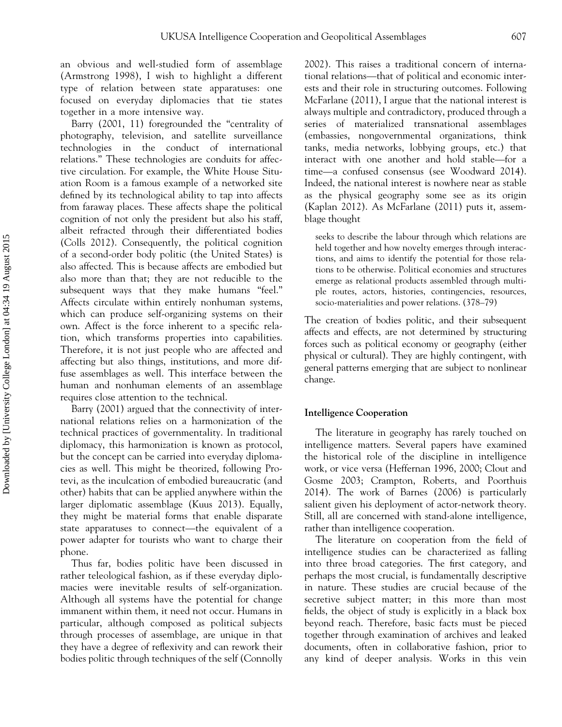an obvious and well-studied form of assemblage (Armstrong 1998), I wish to highlight a different type of relation between state apparatuses: one focused on everyday diplomacies that tie states together in a more intensive way.

Barry (2001, 11) foregrounded the "centrality of photography, television, and satellite surveillance technologies in the conduct of international relations." These technologies are conduits for affective circulation. For example, the White House Situation Room is a famous example of a networked site defined by its technological ability to tap into affects from faraway places. These affects shape the political cognition of not only the president but also his staff, albeit refracted through their differentiated bodies (Colls 2012). Consequently, the political cognition of a second-order body politic (the United States) is also affected. This is because affects are embodied but also more than that; they are not reducible to the subsequent ways that they make humans "feel." Affects circulate within entirely nonhuman systems, which can produce self-organizing systems on their own. Affect is the force inherent to a specific relation, which transforms properties into capabilities. Therefore, it is not just people who are affected and affecting but also things, institutions, and more diffuse assemblages as well. This interface between the human and nonhuman elements of an assemblage requires close attention to the technical.

Barry (2001) argued that the connectivity of international relations relies on a harmonization of the technical practices of governmentality. In traditional diplomacy, this harmonization is known as protocol, but the concept can be carried into everyday diplomacies as well. This might be theorized, following Protevi, as the inculcation of embodied bureaucratic (and other) habits that can be applied anywhere within the larger diplomatic assemblage (Kuus 2013). Equally, they might be material forms that enable disparate state apparatuses to connect—the equivalent of a power adapter for tourists who want to charge their phone.

Thus far, bodies politic have been discussed in rather teleological fashion, as if these everyday diplomacies were inevitable results of self-organization. Although all systems have the potential for change immanent within them, it need not occur. Humans in particular, although composed as political subjects through processes of assemblage, are unique in that they have a degree of reflexivity and can rework their bodies politic through techniques of the self (Connolly

2002). This raises a traditional concern of international relations—that of political and economic interests and their role in structuring outcomes. Following McFarlane (2011), I argue that the national interest is always multiple and contradictory, produced through a series of materialized transnational assemblages (embassies, nongovernmental organizations, think tanks, media networks, lobbying groups, etc.) that interact with one another and hold stable—for a time—a confused consensus (see Woodward 2014). Indeed, the national interest is nowhere near as stable as the physical geography some see as its origin (Kaplan 2012). As McFarlane (2011) puts it, assemblage thought

seeks to describe the labour through which relations are held together and how novelty emerges through interactions, and aims to identify the potential for those relations to be otherwise. Political economies and structures emerge as relational products assembled through multiple routes, actors, histories, contingencies, resources, socio-materialities and power relations. (378–79)

The creation of bodies politic, and their subsequent affects and effects, are not determined by structuring forces such as political economy or geography (either physical or cultural). They are highly contingent, with general patterns emerging that are subject to nonlinear change.

#### Intelligence Cooperation

The literature in geography has rarely touched on intelligence matters. Several papers have examined the historical role of the discipline in intelligence work, or vice versa (Heffernan 1996, 2000; Clout and Gosme 2003; Crampton, Roberts, and Poorthuis 2014). The work of Barnes (2006) is particularly salient given his deployment of actor-network theory. Still, all are concerned with stand-alone intelligence, rather than intelligence cooperation.

The literature on cooperation from the field of intelligence studies can be characterized as falling into three broad categories. The first category, and perhaps the most crucial, is fundamentally descriptive in nature. These studies are crucial because of the secretive subject matter; in this more than most fields, the object of study is explicitly in a black box beyond reach. Therefore, basic facts must be pieced together through examination of archives and leaked documents, often in collaborative fashion, prior to any kind of deeper analysis. Works in this vein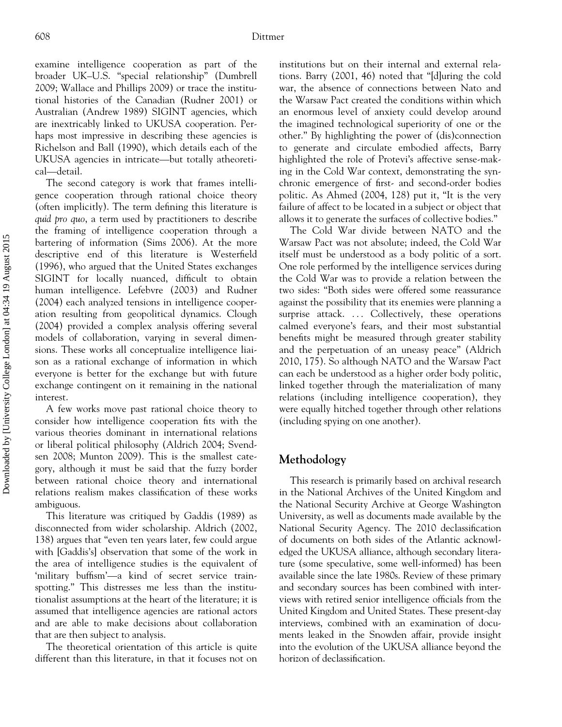examine intelligence cooperation as part of the broader UK–U.S. "special relationship" (Dumbrell 2009; Wallace and Phillips 2009) or trace the institutional histories of the Canadian (Rudner 2001) or Australian (Andrew 1989) SIGINT agencies, which are inextricably linked to UKUSA cooperation. Perhaps most impressive in describing these agencies is Richelson and Ball (1990), which details each of the UKUSA agencies in intricate—but totally atheoretical—detail.

The second category is work that frames intelligence cooperation through rational choice theory (often implicitly). The term defining this literature is quid pro quo, a term used by practitioners to describe the framing of intelligence cooperation through a bartering of information (Sims 2006). At the more descriptive end of this literature is Westerfield (1996), who argued that the United States exchanges SIGINT for locally nuanced, difficult to obtain human intelligence. Lefebvre (2003) and Rudner (2004) each analyzed tensions in intelligence cooperation resulting from geopolitical dynamics. Clough (2004) provided a complex analysis offering several models of collaboration, varying in several dimensions. These works all conceptualize intelligence liaison as a rational exchange of information in which everyone is better for the exchange but with future exchange contingent on it remaining in the national interest.

A few works move past rational choice theory to consider how intelligence cooperation fits with the various theories dominant in international relations or liberal political philosophy (Aldrich 2004; Svendsen 2008; Munton 2009). This is the smallest category, although it must be said that the fuzzy border between rational choice theory and international relations realism makes classification of these works ambiguous.

This literature was critiqued by Gaddis (1989) as disconnected from wider scholarship. Aldrich (2002, 138) argues that "even ten years later, few could argue with [Gaddis's] observation that some of the work in the area of intelligence studies is the equivalent of 'military buffism'—a kind of secret service trainspotting." This distresses me less than the institutionalist assumptions at the heart of the literature; it is assumed that intelligence agencies are rational actors and are able to make decisions about collaboration that are then subject to analysis.

The theoretical orientation of this article is quite different than this literature, in that it focuses not on institutions but on their internal and external relations. Barry (2001, 46) noted that "[d]uring the cold war, the absence of connections between Nato and the Warsaw Pact created the conditions within which an enormous level of anxiety could develop around the imagined technological superiority of one or the other." By highlighting the power of (dis)connection to generate and circulate embodied affects, Barry highlighted the role of Protevi's affective sense-making in the Cold War context, demonstrating the synchronic emergence of first- and second-order bodies politic. As Ahmed (2004, 128) put it, "It is the very failure of affect to be located in a subject or object that allows it to generate the surfaces of collective bodies."

The Cold War divide between NATO and the Warsaw Pact was not absolute; indeed, the Cold War itself must be understood as a body politic of a sort. One role performed by the intelligence services during the Cold War was to provide a relation between the two sides: "Both sides were offered some reassurance against the possibility that its enemies were planning a surprise attack. ... Collectively, these operations calmed everyone's fears, and their most substantial benefits might be measured through greater stability and the perpetuation of an uneasy peace" (Aldrich 2010, 175). So although NATO and the Warsaw Pact can each be understood as a higher order body politic, linked together through the materialization of many relations (including intelligence cooperation), they were equally hitched together through other relations (including spying on one another).

## Methodology

This research is primarily based on archival research in the National Archives of the United Kingdom and the National Security Archive at George Washington University, as well as documents made available by the National Security Agency. The 2010 declassification of documents on both sides of the Atlantic acknowledged the UKUSA alliance, although secondary literature (some speculative, some well-informed) has been available since the late 1980s. Review of these primary and secondary sources has been combined with interviews with retired senior intelligence officials from the United Kingdom and United States. These present-day interviews, combined with an examination of documents leaked in the Snowden affair, provide insight into the evolution of the UKUSA alliance beyond the horizon of declassification.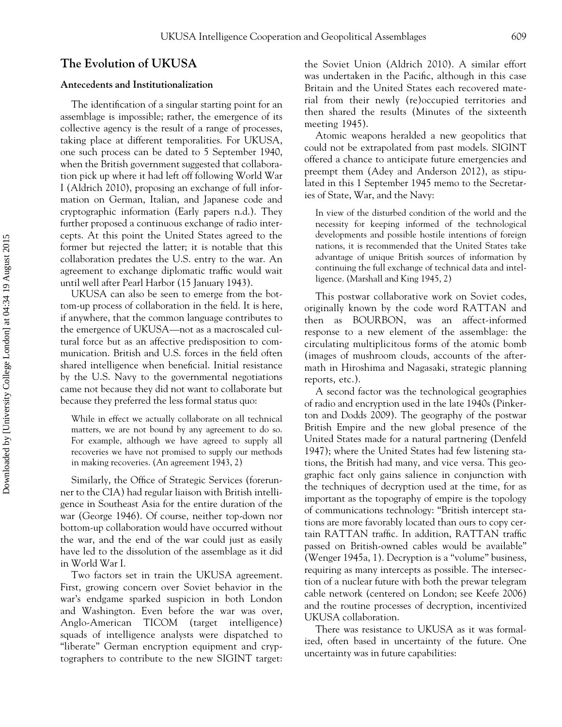## The Evolution of UKUSA

#### Antecedents and Institutionalization

The identification of a singular starting point for an assemblage is impossible; rather, the emergence of its collective agency is the result of a range of processes, taking place at different temporalities. For UKUSA, one such process can be dated to 5 September 1940, when the British government suggested that collaboration pick up where it had left off following World War I (Aldrich 2010), proposing an exchange of full information on German, Italian, and Japanese code and cryptographic information (Early papers n.d.). They further proposed a continuous exchange of radio intercepts. At this point the United States agreed to the former but rejected the latter; it is notable that this collaboration predates the U.S. entry to the war. An agreement to exchange diplomatic traffic would wait until well after Pearl Harbor (15 January 1943).

UKUSA can also be seen to emerge from the bottom-up process of collaboration in the field. It is here, if anywhere, that the common language contributes to the emergence of UKUSA—not as a macroscaled cultural force but as an affective predisposition to communication. British and U.S. forces in the field often shared intelligence when beneficial. Initial resistance by the U.S. Navy to the governmental negotiations came not because they did not want to collaborate but because they preferred the less formal status quo:

While in effect we actually collaborate on all technical matters, we are not bound by any agreement to do so. For example, although we have agreed to supply all recoveries we have not promised to supply our methods in making recoveries. (An agreement 1943, 2)

Similarly, the Office of Strategic Services (forerunner to the CIA) had regular liaison with British intelligence in Southeast Asia for the entire duration of the war (George 1946). Of course, neither top-down nor bottom-up collaboration would have occurred without the war, and the end of the war could just as easily have led to the dissolution of the assemblage as it did in World War I.

Two factors set in train the UKUSA agreement. First, growing concern over Soviet behavior in the war's endgame sparked suspicion in both London and Washington. Even before the war was over, Anglo-American TICOM (target intelligence) squads of intelligence analysts were dispatched to "liberate" German encryption equipment and cryptographers to contribute to the new SIGINT target: the Soviet Union (Aldrich 2010). A similar effort was undertaken in the Pacific, although in this case Britain and the United States each recovered material from their newly (re)occupied territories and then shared the results (Minutes of the sixteenth meeting 1945).

Atomic weapons heralded a new geopolitics that could not be extrapolated from past models. SIGINT offered a chance to anticipate future emergencies and preempt them (Adey and Anderson 2012), as stipulated in this 1 September 1945 memo to the Secretaries of State, War, and the Navy:

In view of the disturbed condition of the world and the necessity for keeping informed of the technological developments and possible hostile intentions of foreign nations, it is recommended that the United States take advantage of unique British sources of information by continuing the full exchange of technical data and intelligence. (Marshall and King 1945, 2)

This postwar collaborative work on Soviet codes, originally known by the code word RATTAN and then as BOURBON, was an affect-informed response to a new element of the assemblage: the circulating multiplicitous forms of the atomic bomb (images of mushroom clouds, accounts of the aftermath in Hiroshima and Nagasaki, strategic planning reports, etc.).

A second factor was the technological geographies of radio and encryption used in the late 1940s (Pinkerton and Dodds 2009). The geography of the postwar British Empire and the new global presence of the United States made for a natural partnering (Denfeld 1947); where the United States had few listening stations, the British had many, and vice versa. This geographic fact only gains salience in conjunction with the techniques of decryption used at the time, for as important as the topography of empire is the topology of communications technology: "British intercept stations are more favorably located than ours to copy certain RATTAN traffic. In addition, RATTAN traffic passed on British-owned cables would be available" (Wenger 1945a, 1). Decryption is a "volume" business, requiring as many intercepts as possible. The intersection of a nuclear future with both the prewar telegram cable network (centered on London; see Keefe 2006) and the routine processes of decryption, incentivized UKUSA collaboration.

There was resistance to UKUSA as it was formalized, often based in uncertainty of the future. One uncertainty was in future capabilities: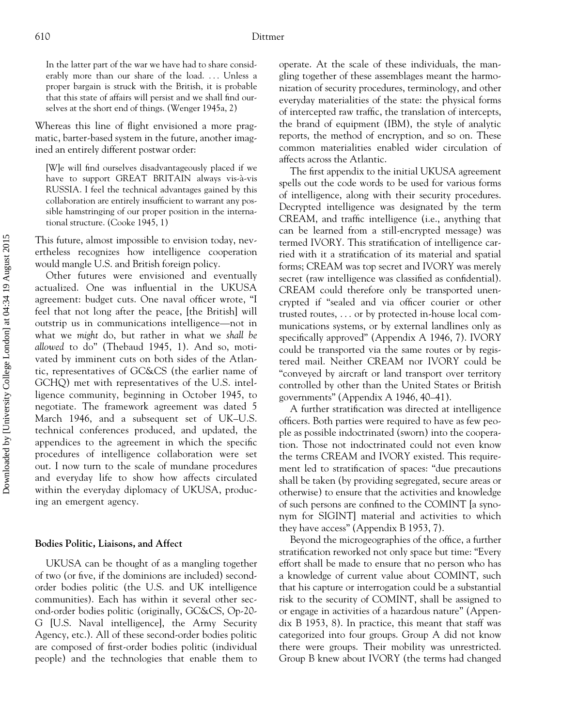In the latter part of the war we have had to share considerably more than our share of the load. ... Unless a proper bargain is struck with the British, it is probable that this state of affairs will persist and we shall find ourselves at the short end of things. (Wenger 1945a, 2)

Whereas this line of flight envisioned a more pragmatic, barter-based system in the future, another imagined an entirely different postwar order:

[W]e will find ourselves disadvantageously placed if we have to support GREAT BRITAIN always vis-à-vis RUSSIA. I feel the technical advantages gained by this collaboration are entirely insufficient to warrant any possible hamstringing of our proper position in the international structure. (Cooke 1945, 1)

This future, almost impossible to envision today, nevertheless recognizes how intelligence cooperation would mangle U.S. and British foreign policy.

Other futures were envisioned and eventually actualized. One was influential in the UKUSA agreement: budget cuts. One naval officer wrote, "I feel that not long after the peace, [the British] will outstrip us in communications intelligence—not in what we might do, but rather in what we shall be allowed to do" (Thebaud 1945, 1). And so, motivated by imminent cuts on both sides of the Atlantic, representatives of GC&CS (the earlier name of GCHQ) met with representatives of the U.S. intelligence community, beginning in October 1945, to negotiate. The framework agreement was dated 5 March 1946, and a subsequent set of UK–U.S. technical conferences produced, and updated, the appendices to the agreement in which the specific procedures of intelligence collaboration were set out. I now turn to the scale of mundane procedures and everyday life to show how affects circulated within the everyday diplomacy of UKUSA, producing an emergent agency.

#### Bodies Politic, Liaisons, and Affect

UKUSA can be thought of as a mangling together of two (or five, if the dominions are included) secondorder bodies politic (the U.S. and UK intelligence communities). Each has within it several other second-order bodies politic (originally, GC&CS, Op-20- G [U.S. Naval intelligence], the Army Security Agency, etc.). All of these second-order bodies politic are composed of first-order bodies politic (individual people) and the technologies that enable them to operate. At the scale of these individuals, the mangling together of these assemblages meant the harmonization of security procedures, terminology, and other everyday materialities of the state: the physical forms of intercepted raw traffic, the translation of intercepts, the brand of equipment (IBM), the style of analytic reports, the method of encryption, and so on. These common materialities enabled wider circulation of affects across the Atlantic.

The first appendix to the initial UKUSA agreement spells out the code words to be used for various forms of intelligence, along with their security procedures. Decrypted intelligence was designated by the term CREAM, and traffic intelligence (i.e., anything that can be learned from a still-encrypted message) was termed IVORY. This stratification of intelligence carried with it a stratification of its material and spatial forms; CREAM was top secret and IVORY was merely secret (raw intelligence was classified as confidential). CREAM could therefore only be transported unencrypted if "sealed and via officer courier or other trusted routes, ... or by protected in-house local communications systems, or by external landlines only as specifically approved" (Appendix A 1946, 7). IVORY could be transported via the same routes or by registered mail. Neither CREAM nor IVORY could be "conveyed by aircraft or land transport over territory controlled by other than the United States or British governments" (Appendix A 1946, 40–41).

A further stratification was directed at intelligence officers. Both parties were required to have as few people as possible indoctrinated (sworn) into the cooperation. Those not indoctrinated could not even know the terms CREAM and IVORY existed. This requirement led to stratification of spaces: "due precautions shall be taken (by providing segregated, secure areas or otherwise) to ensure that the activities and knowledge of such persons are confined to the COMINT [a synonym for SIGINT] material and activities to which they have access" (Appendix B 1953, 7).

Beyond the microgeographies of the office, a further stratification reworked not only space but time: "Every effort shall be made to ensure that no person who has a knowledge of current value about COMINT, such that his capture or interrogation could be a substantial risk to the security of COMINT, shall be assigned to or engage in activities of a hazardous nature" (Appendix B 1953, 8). In practice, this meant that staff was categorized into four groups. Group A did not know there were groups. Their mobility was unrestricted. Group B knew about IVORY (the terms had changed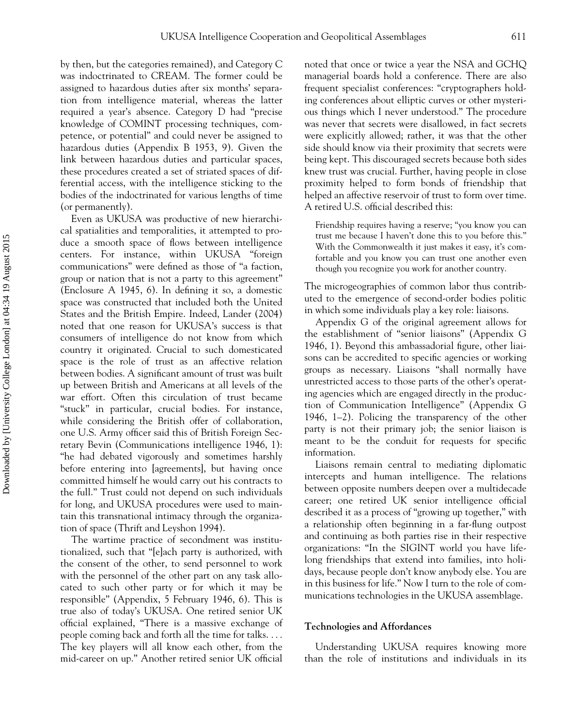by then, but the categories remained), and Category C was indoctrinated to CREAM. The former could be assigned to hazardous duties after six months' separation from intelligence material, whereas the latter required a year's absence. Category D had "precise knowledge of COMINT processing techniques, competence, or potential" and could never be assigned to hazardous duties (Appendix B 1953, 9). Given the link between hazardous duties and particular spaces, these procedures created a set of striated spaces of differential access, with the intelligence sticking to the bodies of the indoctrinated for various lengths of time (or permanently).

Even as UKUSA was productive of new hierarchical spatialities and temporalities, it attempted to produce a smooth space of flows between intelligence centers. For instance, within UKUSA "foreign communications" were defined as those of "a faction, group or nation that is not a party to this agreement" (Enclosure A 1945, 6). In defining it so, a domestic space was constructed that included both the United States and the British Empire. Indeed, Lander (2004) noted that one reason for UKUSA's success is that consumers of intelligence do not know from which country it originated. Crucial to such domesticated space is the role of trust as an affective relation between bodies. A significant amount of trust was built up between British and Americans at all levels of the war effort. Often this circulation of trust became "stuck" in particular, crucial bodies. For instance, while considering the British offer of collaboration, one U.S. Army officer said this of British Foreign Secretary Bevin (Communications intelligence 1946, 1): "he had debated vigorously and sometimes harshly before entering into [agreements], but having once committed himself he would carry out his contracts to the full." Trust could not depend on such individuals for long, and UKUSA procedures were used to maintain this transnational intimacy through the organization of space (Thrift and Leyshon 1994).

The wartime practice of secondment was institutionalized, such that "[e]ach party is authorized, with the consent of the other, to send personnel to work with the personnel of the other part on any task allocated to such other party or for which it may be responsible" (Appendix, 5 February 1946, 6). This is true also of today's UKUSA. One retired senior UK official explained, "There is a massive exchange of people coming back and forth all the time for talks. ... The key players will all know each other, from the mid-career on up." Another retired senior UK official noted that once or twice a year the NSA and GCHQ managerial boards hold a conference. There are also frequent specialist conferences: "cryptographers holding conferences about elliptic curves or other mysterious things which I never understood." The procedure was never that secrets were disallowed, in fact secrets were explicitly allowed; rather, it was that the other side should know via their proximity that secrets were being kept. This discouraged secrets because both sides knew trust was crucial. Further, having people in close proximity helped to form bonds of friendship that helped an affective reservoir of trust to form over time. A retired U.S. official described this:

Friendship requires having a reserve; "you know you can trust me because I haven't done this to you before this." With the Commonwealth it just makes it easy, it's comfortable and you know you can trust one another even though you recognize you work for another country.

The microgeographies of common labor thus contributed to the emergence of second-order bodies politic in which some individuals play a key role: liaisons.

Appendix G of the original agreement allows for the establishment of "senior liaisons" (Appendix G 1946, 1). Beyond this ambassadorial figure, other liaisons can be accredited to specific agencies or working groups as necessary. Liaisons "shall normally have unrestricted access to those parts of the other's operating agencies which are engaged directly in the production of Communication Intelligence" (Appendix G 1946, 1–2). Policing the transparency of the other party is not their primary job; the senior liaison is meant to be the conduit for requests for specific information.

Liaisons remain central to mediating diplomatic intercepts and human intelligence. The relations between opposite numbers deepen over a multidecade career; one retired UK senior intelligence official described it as a process of "growing up together," with a relationship often beginning in a far-flung outpost and continuing as both parties rise in their respective organizations: "In the SIGINT world you have lifelong friendships that extend into families, into holidays, because people don't know anybody else. You are in this business for life." Now I turn to the role of communications technologies in the UKUSA assemblage.

#### Technologies and Affordances

Understanding UKUSA requires knowing more than the role of institutions and individuals in its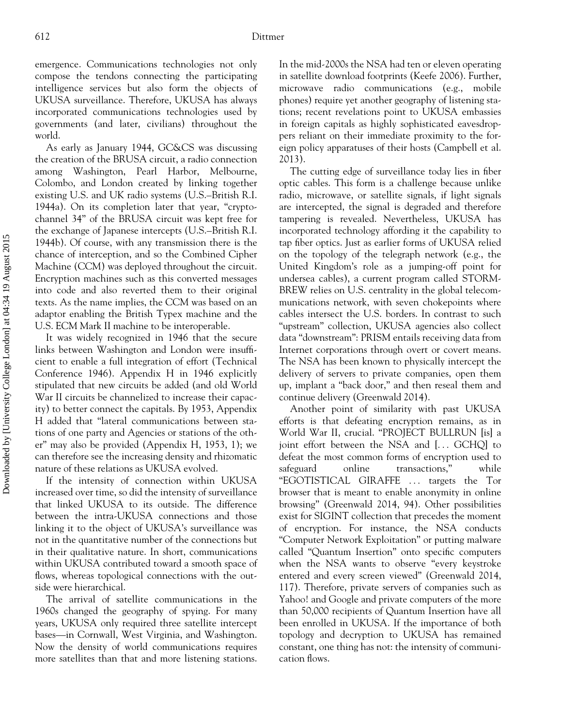emergence. Communications technologies not only compose the tendons connecting the participating intelligence services but also form the objects of UKUSA surveillance. Therefore, UKUSA has always incorporated communications technologies used by governments (and later, civilians) throughout the world.

As early as January 1944, GC&CS was discussing the creation of the BRUSA circuit, a radio connection among Washington, Pearl Harbor, Melbourne, Colombo, and London created by linking together existing U.S. and UK radio systems (U.S.–British R.I. 1944a). On its completion later that year, "cryptochannel 34" of the BRUSA circuit was kept free for the exchange of Japanese intercepts (U.S.–British R.I. 1944b). Of course, with any transmission there is the chance of interception, and so the Combined Cipher Machine (CCM) was deployed throughout the circuit. Encryption machines such as this converted messages into code and also reverted them to their original texts. As the name implies, the CCM was based on an adaptor enabling the British Typex machine and the U.S. ECM Mark II machine to be interoperable.

It was widely recognized in 1946 that the secure links between Washington and London were insufficient to enable a full integration of effort (Technical Conference 1946). Appendix H in 1946 explicitly stipulated that new circuits be added (and old World War II circuits be channelized to increase their capacity) to better connect the capitals. By 1953, Appendix H added that "lateral communications between stations of one party and Agencies or stations of the other" may also be provided (Appendix H, 1953, 1); we can therefore see the increasing density and rhizomatic nature of these relations as UKUSA evolved.

If the intensity of connection within UKUSA increased over time, so did the intensity of surveillance that linked UKUSA to its outside. The difference between the intra-UKUSA connections and those linking it to the object of UKUSA's surveillance was not in the quantitative number of the connections but in their qualitative nature. In short, communications within UKUSA contributed toward a smooth space of flows, whereas topological connections with the outside were hierarchical.

The arrival of satellite communications in the 1960s changed the geography of spying. For many years, UKUSA only required three satellite intercept bases—in Cornwall, West Virginia, and Washington. Now the density of world communications requires more satellites than that and more listening stations. In the mid-2000s the NSA had ten or eleven operating in satellite download footprints (Keefe 2006). Further, microwave radio communications (e.g., mobile phones) require yet another geography of listening stations; recent revelations point to UKUSA embassies in foreign capitals as highly sophisticated eavesdroppers reliant on their immediate proximity to the foreign policy apparatuses of their hosts (Campbell et al. 2013).

The cutting edge of surveillance today lies in fiber optic cables. This form is a challenge because unlike radio, microwave, or satellite signals, if light signals are intercepted, the signal is degraded and therefore tampering is revealed. Nevertheless, UKUSA has incorporated technology affording it the capability to tap fiber optics. Just as earlier forms of UKUSA relied on the topology of the telegraph network (e.g., the United Kingdom's role as a jumping-off point for undersea cables), a current program called STORM-BREW relies on U.S. centrality in the global telecommunications network, with seven chokepoints where cables intersect the U.S. borders. In contrast to such "upstream" collection, UKUSA agencies also collect data "downstream": PRISM entails receiving data from Internet corporations through overt or covert means. The NSA has been known to physically intercept the delivery of servers to private companies, open them up, implant a "back door," and then reseal them and continue delivery (Greenwald 2014).

Another point of similarity with past UKUSA efforts is that defeating encryption remains, as in World War II, crucial. "PROJECT BULLRUN [is] a joint effort between the NSA and [... GCHQ] to defeat the most common forms of encryption used to safeguard online transactions," while "EGOTISTICAL GIRAFFE ... targets the Tor browser that is meant to enable anonymity in online browsing" (Greenwald 2014, 94). Other possibilities exist for SIGINT collection that precedes the moment of encryption. For instance, the NSA conducts "Computer Network Exploitation" or putting malware called "Quantum Insertion" onto specific computers when the NSA wants to observe "every keystroke entered and every screen viewed" (Greenwald 2014, 117). Therefore, private servers of companies such as Yahoo! and Google and private computers of the more than 50,000 recipients of Quantum Insertion have all been enrolled in UKUSA. If the importance of both topology and decryption to UKUSA has remained constant, one thing has not: the intensity of communication flows.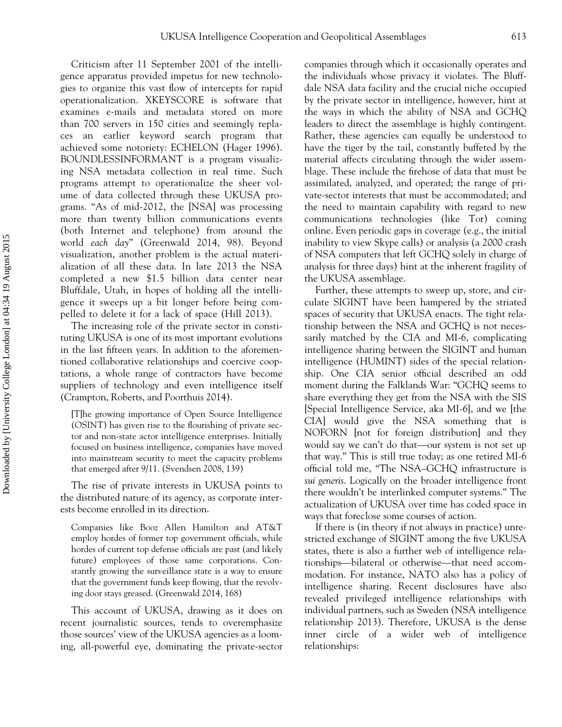Criticism after 11 September 2001 of the intelligence apparatus provided impetus for new technologies to organize this vast flow of intercepts for rapid operationalization. XKEYSCORE is software that examines e-mails and metadata stored on more than 700 servers in 150 cities and seemingly replaces an earlier keyword search program that achieved some notoriety: ECHELON (Hager 1996). BOUNDLESSINFORMANT is a program visualizing NSA metadata collection in real time. Such programs attempt to operationalize the sheer volume of data collected through these UKUSA programs. "As of mid-2012, the [NSA] was processing more than twenty billion communications events (both Internet and telephone) from around the world each day" (Greenwald 2014, 98). Beyond visualization, another problem is the actual materialization of all these data. In late 2013 the NSA completed a new \$1.5 billion data center near Bluffdale, Utah, in hopes of holding all the intelligence it sweeps up a bit longer before being compelled to delete it for a lack of space (Hill 2013).

The increasing role of the private sector in constituting UKUSA is one of its most important evolutions in the last fifteen years. In addition to the aforementioned collaborative relationships and coercive cooptations, a whole range of contractors have become suppliers of technology and even intelligence itself (Crampton, Roberts, and Poorthuis 2014).

[T]he growing importance of Open Source Intelligence (OSINT) has given rise to the flourishing of private sector and non-state actor intelligence enterprises. Initially focused on business intelligence, companies have moved into mainstream security to meet the capacity problems that emerged after 9/11. (Svendsen 2008, 139)

The rise of private interests in UKUSA points to the distributed nature of its agency, as corporate interests become enrolled in its direction.

Companies like Booz Allen Hamilton and AT&T employ hordes of former top government officials, while hordes of current top defense officials are past (and likely future) employees of those same corporations. Constantly growing the surveillance state is a way to ensure that the government funds keep flowing, that the revolving door stays greased. (Greenwald 2014, 168)

This account of UKUSA, drawing as it does on recent journalistic sources, tends to overemphasize those sources' view of the UKUSA agencies as a looming, all-powerful eye, dominating the private-sector

companies through which it occasionally operates and the individuals whose privacy it violates. The Bluffdale NSA data facility and the crucial niche occupied by the private sector in intelligence, however, hint at the ways in which the ability of NSA and GCHQ leaders to direct the assemblage is highly contingent. Rather, these agencies can equally be understood to have the tiger by the tail, constantly buffeted by the material affects circulating through the wider assemblage. These include the firehose of data that must be assimilated, analyzed, and operated; the range of private-sector interests that must be accommodated; and the need to maintain capability with regard to new communications technologies (like Tor) coming online. Even periodic gaps in coverage (e.g., the initial inability to view Skype calls) or analysis (a 2000 crash of NSA computers that left GCHQ solely in charge of analysis for three days) hint at the inherent fragility of the UKUSA assemblage.

Further, these attempts to sweep up, store, and circulate SIGINT have been hampered by the striated spaces of security that UKUSA enacts. The tight relationship between the NSA and GCHQ is not necessarily matched by the CIA and MI-6, complicating intelligence sharing between the SIGINT and human intelligence (HUMINT) sides of the special relationship. One CIA senior official described an odd moment during the Falklands War: "GCHQ seems to share everything they get from the NSA with the SIS [Special Intelligence Service, aka MI-6], and we [the CIA] would give the NSA something that is NOFORN [not for foreign distribution] and they would say we can't do that—our system is not set up that way." This is still true today; as one retired MI-6 official told me, "The NSA–GCHQ infrastructure is sui generis. Logically on the broader intelligence front there wouldn't be interlinked computer systems." The actualization of UKUSA over time has coded space in ways that foreclose some courses of action.

If there is (in theory if not always in practice) unrestricted exchange of SIGINT among the five UKUSA states, there is also a further web of intelligence relationships—bilateral or otherwise—that need accommodation. For instance, NATO also has a policy of intelligence sharing. Recent disclosures have also revealed privileged intelligence relationships with individual partners, such as Sweden (NSA intelligence relationship 2013). Therefore, UKUSA is the dense inner circle of a wider web of intelligence relationships: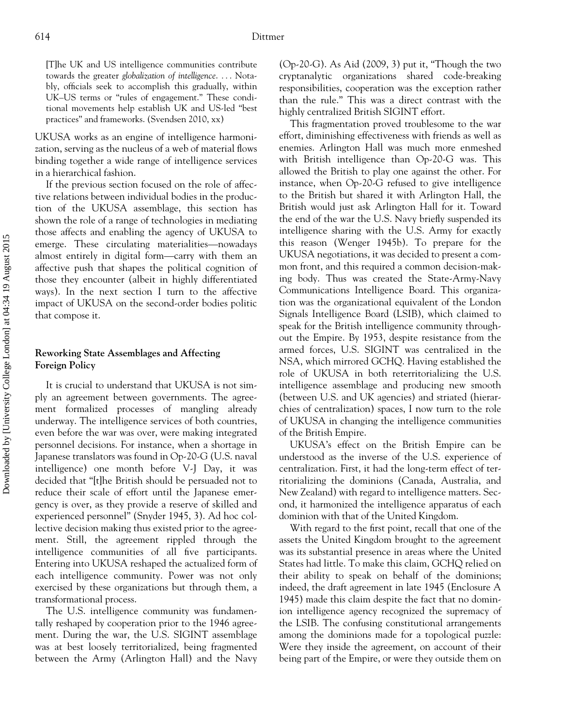[T]he UK and US intelligence communities contribute towards the greater globalization of intelligence. ... Notably, officials seek to accomplish this gradually, within UK–US terms or "rules of engagement." These conditional movements help establish UK and US-led "best practices" and frameworks. (Svendsen 2010, xx)

UKUSA works as an engine of intelligence harmonization, serving as the nucleus of a web of material flows binding together a wide range of intelligence services in a hierarchical fashion.

If the previous section focused on the role of affective relations between individual bodies in the production of the UKUSA assemblage, this section has shown the role of a range of technologies in mediating those affects and enabling the agency of UKUSA to emerge. These circulating materialities—nowadays almost entirely in digital form—carry with them an affective push that shapes the political cognition of those they encounter (albeit in highly differentiated ways). In the next section I turn to the affective impact of UKUSA on the second-order bodies politic that compose it.

#### Reworking State Assemblages and Affecting Foreign Policy

It is crucial to understand that UKUSA is not simply an agreement between governments. The agreement formalized processes of mangling already underway. The intelligence services of both countries, even before the war was over, were making integrated personnel decisions. For instance, when a shortage in Japanese translators was found in Op-20-G (U.S. naval intelligence) one month before V-J Day, it was decided that "[t]he British should be persuaded not to reduce their scale of effort until the Japanese emergency is over, as they provide a reserve of skilled and experienced personnel" (Snyder 1945, 3). Ad hoc collective decision making thus existed prior to the agreement. Still, the agreement rippled through the intelligence communities of all five participants. Entering into UKUSA reshaped the actualized form of each intelligence community. Power was not only exercised by these organizations but through them, a transformational process.

The U.S. intelligence community was fundamentally reshaped by cooperation prior to the 1946 agreement. During the war, the U.S. SIGINT assemblage was at best loosely territorialized, being fragmented between the Army (Arlington Hall) and the Navy (Op-20-G). As Aid (2009, 3) put it, "Though the two cryptanalytic organizations shared code-breaking responsibilities, cooperation was the exception rather than the rule." This was a direct contrast with the highly centralized British SIGINT effort.

This fragmentation proved troublesome to the war effort, diminishing effectiveness with friends as well as enemies. Arlington Hall was much more enmeshed with British intelligence than Op-20-G was. This allowed the British to play one against the other. For instance, when Op-20-G refused to give intelligence to the British but shared it with Arlington Hall, the British would just ask Arlington Hall for it. Toward the end of the war the U.S. Navy briefly suspended its intelligence sharing with the U.S. Army for exactly this reason (Wenger 1945b). To prepare for the UKUSA negotiations, it was decided to present a common front, and this required a common decision-making body. Thus was created the State-Army-Navy Communications Intelligence Board. This organization was the organizational equivalent of the London Signals Intelligence Board (LSIB), which claimed to speak for the British intelligence community throughout the Empire. By 1953, despite resistance from the armed forces, U.S. SIGINT was centralized in the NSA, which mirrored GCHQ. Having established the role of UKUSA in both reterritorializing the U.S. intelligence assemblage and producing new smooth (between U.S. and UK agencies) and striated (hierarchies of centralization) spaces, I now turn to the role of UKUSA in changing the intelligence communities of the British Empire.

UKUSA's effect on the British Empire can be understood as the inverse of the U.S. experience of centralization. First, it had the long-term effect of territorializing the dominions (Canada, Australia, and New Zealand) with regard to intelligence matters. Second, it harmonized the intelligence apparatus of each dominion with that of the United Kingdom.

With regard to the first point, recall that one of the assets the United Kingdom brought to the agreement was its substantial presence in areas where the United States had little. To make this claim, GCHQ relied on their ability to speak on behalf of the dominions; indeed, the draft agreement in late 1945 (Enclosure A 1945) made this claim despite the fact that no dominion intelligence agency recognized the supremacy of the LSIB. The confusing constitutional arrangements among the dominions made for a topological puzzle: Were they inside the agreement, on account of their being part of the Empire, or were they outside them on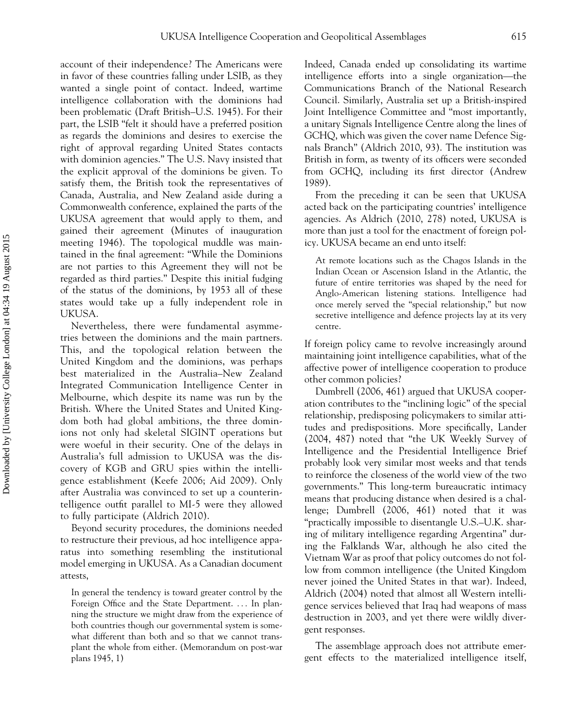account of their independence? The Americans were in favor of these countries falling under LSIB, as they wanted a single point of contact. Indeed, wartime intelligence collaboration with the dominions had been problematic (Draft British–U.S. 1945). For their part, the LSIB "felt it should have a preferred position as regards the dominions and desires to exercise the right of approval regarding United States contacts with dominion agencies." The U.S. Navy insisted that the explicit approval of the dominions be given. To satisfy them, the British took the representatives of Canada, Australia, and New Zealand aside during a Commonwealth conference, explained the parts of the UKUSA agreement that would apply to them, and gained their agreement (Minutes of inauguration meeting 1946). The topological muddle was maintained in the final agreement: "While the Dominions are not parties to this Agreement they will not be regarded as third parties." Despite this initial fudging of the status of the dominions, by 1953 all of these states would take up a fully independent role in UKUSA.

Nevertheless, there were fundamental asymmetries between the dominions and the main partners. This, and the topological relation between the United Kingdom and the dominions, was perhaps best materialized in the Australia–New Zealand Integrated Communication Intelligence Center in Melbourne, which despite its name was run by the British. Where the United States and United Kingdom both had global ambitions, the three dominions not only had skeletal SIGINT operations but were woeful in their security. One of the delays in Australia's full admission to UKUSA was the discovery of KGB and GRU spies within the intelligence establishment (Keefe 2006; Aid 2009). Only after Australia was convinced to set up a counterintelligence outfit parallel to MI-5 were they allowed to fully participate (Aldrich 2010).

Beyond security procedures, the dominions needed to restructure their previous, ad hoc intelligence apparatus into something resembling the institutional model emerging in UKUSA. As a Canadian document attests,

In general the tendency is toward greater control by the Foreign Office and the State Department. ... In planning the structure we might draw from the experience of both countries though our governmental system is somewhat different than both and so that we cannot transplant the whole from either. (Memorandum on post-war plans 1945, 1)

Indeed, Canada ended up consolidating its wartime intelligence efforts into a single organization—the Communications Branch of the National Research Council. Similarly, Australia set up a British-inspired Joint Intelligence Committee and "most importantly, a unitary Signals Intelligence Centre along the lines of GCHQ, which was given the cover name Defence Signals Branch" (Aldrich 2010, 93). The institution was British in form, as twenty of its officers were seconded from GCHQ, including its first director (Andrew 1989).

From the preceding it can be seen that UKUSA acted back on the participating countries' intelligence agencies. As Aldrich (2010, 278) noted, UKUSA is more than just a tool for the enactment of foreign policy. UKUSA became an end unto itself:

At remote locations such as the Chagos Islands in the Indian Ocean or Ascension Island in the Atlantic, the future of entire territories was shaped by the need for Anglo-American listening stations. Intelligence had once merely served the "special relationship," but now secretive intelligence and defence projects lay at its very centre.

If foreign policy came to revolve increasingly around maintaining joint intelligence capabilities, what of the affective power of intelligence cooperation to produce other common policies?

Dumbrell (2006, 461) argued that UKUSA cooperation contributes to the "inclining logic" of the special relationship, predisposing policymakers to similar attitudes and predispositions. More specifically, Lander (2004, 487) noted that "the UK Weekly Survey of Intelligence and the Presidential Intelligence Brief probably look very similar most weeks and that tends to reinforce the closeness of the world view of the two governments." This long-term bureaucratic intimacy means that producing distance when desired is a challenge; Dumbrell (2006, 461) noted that it was "practically impossible to disentangle U.S.–U.K. sharing of military intelligence regarding Argentina" during the Falklands War, although he also cited the Vietnam War as proof that policy outcomes do not follow from common intelligence (the United Kingdom never joined the United States in that war). Indeed, Aldrich (2004) noted that almost all Western intelligence services believed that Iraq had weapons of mass destruction in 2003, and yet there were wildly divergent responses.

The assemblage approach does not attribute emergent effects to the materialized intelligence itself,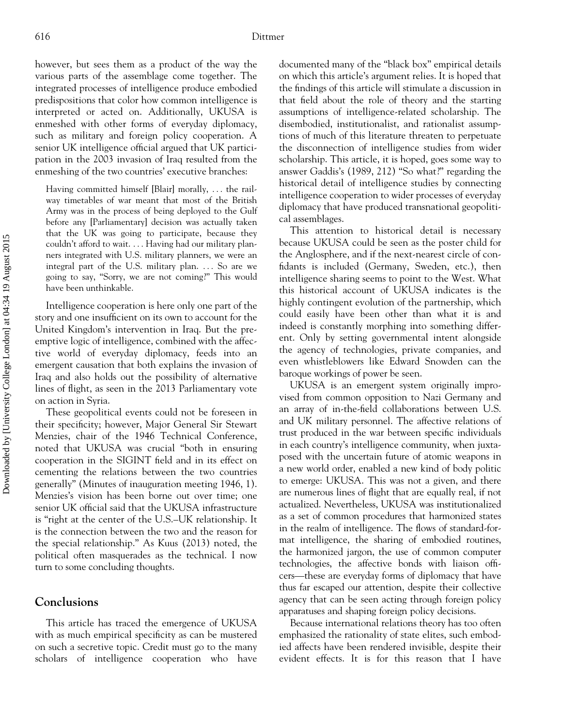however, but sees them as a product of the way the various parts of the assemblage come together. The integrated processes of intelligence produce embodied predispositions that color how common intelligence is interpreted or acted on. Additionally, UKUSA is enmeshed with other forms of everyday diplomacy, such as military and foreign policy cooperation. A senior UK intelligence official argued that UK participation in the 2003 invasion of Iraq resulted from the enmeshing of the two countries' executive branches:

Having committed himself [Blair] morally, ... the railway timetables of war meant that most of the British Army was in the process of being deployed to the Gulf before any [Parliamentary] decision was actually taken that the UK was going to participate, because they couldn't afford to wait. ... Having had our military planners integrated with U.S. military planners, we were an integral part of the U.S. military plan. ... So are we going to say, "Sorry, we are not coming?" This would have been unthinkable.

Intelligence cooperation is here only one part of the story and one insufficient on its own to account for the United Kingdom's intervention in Iraq. But the preemptive logic of intelligence, combined with the affective world of everyday diplomacy, feeds into an emergent causation that both explains the invasion of Iraq and also holds out the possibility of alternative lines of flight, as seen in the 2013 Parliamentary vote on action in Syria.

These geopolitical events could not be foreseen in their specificity; however, Major General Sir Stewart Menzies, chair of the 1946 Technical Conference, noted that UKUSA was crucial "both in ensuring cooperation in the SIGINT field and in its effect on cementing the relations between the two countries generally" (Minutes of inauguration meeting 1946, 1). Menzies's vision has been borne out over time; one senior UK official said that the UKUSA infrastructure is "right at the center of the U.S.–UK relationship. It is the connection between the two and the reason for the special relationship." As Kuus (2013) noted, the political often masquerades as the technical. I now turn to some concluding thoughts.

#### Conclusions

This article has traced the emergence of UKUSA with as much empirical specificity as can be mustered on such a secretive topic. Credit must go to the many scholars of intelligence cooperation who have documented many of the "black box" empirical details on which this article's argument relies. It is hoped that the findings of this article will stimulate a discussion in that field about the role of theory and the starting assumptions of intelligence-related scholarship. The disembodied, institutionalist, and rationalist assumptions of much of this literature threaten to perpetuate the disconnection of intelligence studies from wider scholarship. This article, it is hoped, goes some way to answer Gaddis's (1989, 212) "So what?" regarding the historical detail of intelligence studies by connecting intelligence cooperation to wider processes of everyday diplomacy that have produced transnational geopolitical assemblages.

This attention to historical detail is necessary because UKUSA could be seen as the poster child for the Anglosphere, and if the next-nearest circle of confidants is included (Germany, Sweden, etc.), then intelligence sharing seems to point to the West. What this historical account of UKUSA indicates is the highly contingent evolution of the partnership, which could easily have been other than what it is and indeed is constantly morphing into something different. Only by setting governmental intent alongside the agency of technologies, private companies, and even whistleblowers like Edward Snowden can the baroque workings of power be seen.

UKUSA is an emergent system originally improvised from common opposition to Nazi Germany and an array of in-the-field collaborations between U.S. and UK military personnel. The affective relations of trust produced in the war between specific individuals in each country's intelligence community, when juxtaposed with the uncertain future of atomic weapons in a new world order, enabled a new kind of body politic to emerge: UKUSA. This was not a given, and there are numerous lines of flight that are equally real, if not actualized. Nevertheless, UKUSA was institutionalized as a set of common procedures that harmonized states in the realm of intelligence. The flows of standard-format intelligence, the sharing of embodied routines, the harmonized jargon, the use of common computer technologies, the affective bonds with liaison officers—these are everyday forms of diplomacy that have thus far escaped our attention, despite their collective agency that can be seen acting through foreign policy apparatuses and shaping foreign policy decisions.

Because international relations theory has too often emphasized the rationality of state elites, such embodied affects have been rendered invisible, despite their evident effects. It is for this reason that I have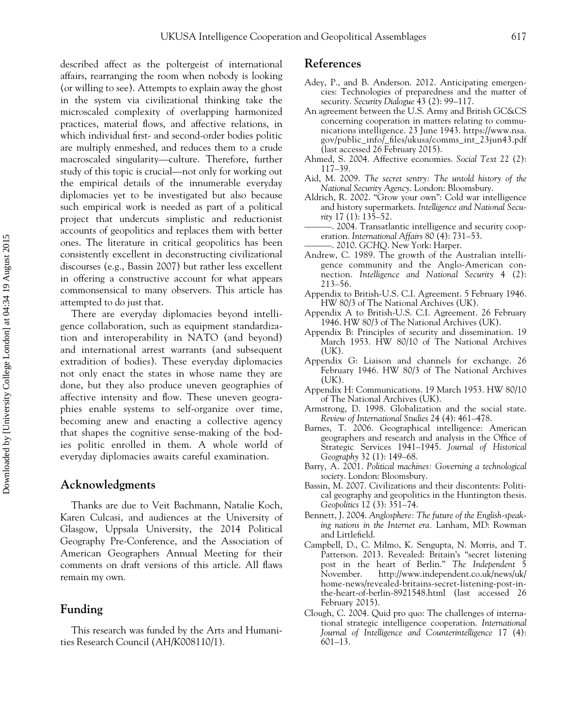described affect as the poltergeist of international affairs, rearranging the room when nobody is looking (or willing to see). Attempts to explain away the ghost in the system via civilizational thinking take the microscaled complexity of overlapping harmonized practices, material flows, and affective relations, in which individual first- and second-order bodies politic are multiply enmeshed, and reduces them to a crude macroscaled singularity—culture. Therefore, further study of this topic is crucial—not only for working out the empirical details of the innumerable everyday diplomacies yet to be investigated but also because such empirical work is needed as part of a political project that undercuts simplistic and reductionist accounts of geopolitics and replaces them with better ones. The literature in critical geopolitics has been consistently excellent in deconstructing civilizational discourses (e.g., Bassin 2007) but rather less excellent in offering a constructive account for what appears commonsensical to many observers. This article has attempted to do just that.

There are everyday diplomacies beyond intelligence collaboration, such as equipment standardization and interoperability in NATO (and beyond) and international arrest warrants (and subsequent extradition of bodies). These everyday diplomacies not only enact the states in whose name they are done, but they also produce uneven geographies of affective intensity and flow. These uneven geographies enable systems to self-organize over time, becoming anew and enacting a collective agency that shapes the cognitive sense-making of the bodies politic enrolled in them. A whole world of everyday diplomacies awaits careful examination.

## Acknowledgments

Thanks are due to Veit Bachmann, Natalie Koch, Karen Culcasi, and audiences at the University of Glasgow, Uppsala University, the 2014 Political Geography Pre-Conference, and the Association of American Geographers Annual Meeting for their comments on draft versions of this article. All flaws remain my own.

# Funding

This research was funded by the Arts and Humanities Research Council (AH/K008110/1).

#### References

- Adey, P., and B. Anderson. 2012. Anticipating emergencies: Technologies of preparedness and the matter of security. Security Dialogue 43 (2): 99-117.
- An agreement between the U.S. Army and British GC&CS concerning cooperation in matters relating to communications intelligence. 23 June 1943. [https://www.nsa.](https://www.nsa.gov/public_info/_files/ukusa/comms_int_23jun43.pdf) [gov/public\\_info/\\_files/ukusa/comms\\_int\\_23jun43.pdf](https://www.nsa.gov/public_info/_files/ukusa/comms_int_23jun43.pdf) [\(last accessed 26 February 2015\).](https://www.nsa.gov/public_info/_files/ukusa/comms_int_23jun43.pdf)
- Ahmed, S. 2004. Affective economies. Social Text 22 (2): 117–39.
- Aid, M. 2009. The secret sentry: The untold history of the National Security Agency. London: Bloomsbury.
- Aldrich, R. 2002. "Grow your own": Cold war intelligence and history supermarkets. Intelligence and National Security 17 (1): 135–52.
	- -. 2004. Transatlantic intelligence and security cooperation. International Affairs 80 (4): 731–53.
- -. 2010. GCHQ. New York: Harper.
- Andrew, C. 1989. The growth of the Australian intelligence community and the Anglo-American connection. Intelligence and National Security 4 (2): 213–56.
- Appendix to British-U.S. C.I. Agreement. 5 February 1946. HW 80/3 of The National Archives (UK).
- Appendix A to British-U.S. C.I. Agreement. 26 February 1946. HW 80/3 of The National Archives (UK).
- Appendix B: Principles of security and dissemination. 19 March 1953. HW 80/10 of The National Archives (UK).
- Appendix G: Liaison and channels for exchange. 26 February 1946. HW 80/3 of The National Archives (UK).
- Appendix H: Communications. 19 March 1953. HW 80/10 of The National Archives (UK).
- Armstrong, D. 1998. Globalization and the social state. Review of International Studies 24 (4): 461–478.
- Barnes, T. 2006. Geographical intelligence: American geographers and research and analysis in the Office of Strategic Services 1941–1945. Journal of Historical Geography 32 (1): 149–68.
- Barry, A. 2001. Political machines: Governing a technological society. London: Bloomsbury.
- Bassin, M. 2007. Civilizations and their discontents: Political geography and geopolitics in the Huntington thesis. Geopolitics 12 (3): 351–74.
- Bennett, J. 2004. Anglosphere: The future of the English-speaking nations in the Internet era. Lanham, MD: Rowman and Littlefield.
- Campbell, D., C. Milmo, K. Sengupta, N. Morris, and T. Patterson. 2013. Revealed: Britain's "secret listening post in the heart of Berlin." The Independent 5 November. [http://www.independent.co.uk/news/uk/](http://www.independent.co.uk/news/uk/home-news/revealed-britains-secret-listening-post-in-the-heart-of-berlin-8921548.html) [home-news/revealed-britains-secret-listening-post-in](http://www.independent.co.uk/news/uk/home-news/revealed-britains-secret-listening-post-in-the-heart-of-berlin-8921548.html)[the-heart-of-berlin-8921548.html \(last accessed 26](http://www.independent.co.uk/news/uk/home-news/revealed-britains-secret-listening-post-in-the-heart-of-berlin-8921548.html) [February 2015\).](http://www.independent.co.uk/news/uk/home-news/revealed-britains-secret-listening-post-in-the-heart-of-berlin-8921548.html)
- Clough, C. 2004. Quid pro quo: The challenges of international strategic intelligence cooperation. International Journal of Intelligence and Counterintelligence 17 (4): 601–13.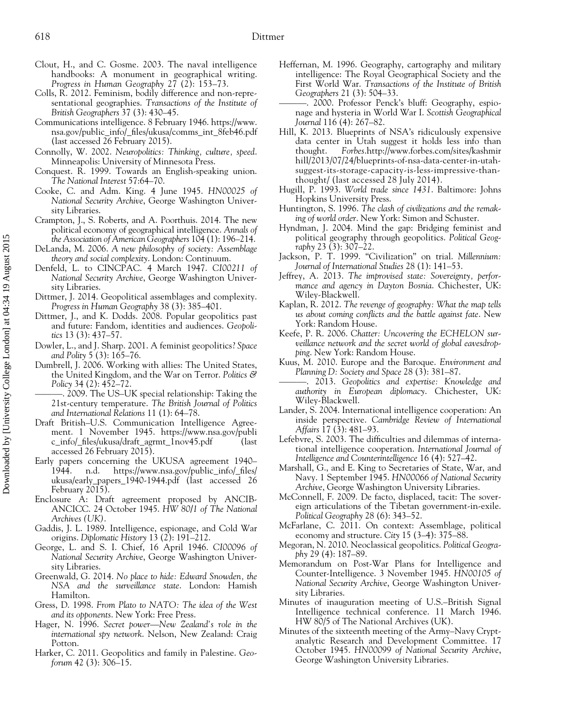- Clout, H., and C. Gosme. 2003. The naval intelligence handbooks: A monument in geographical writing. Progress in Human Geography 27 (2): 153–73.
- Colls, R. 2012. Feminism, bodily difference and non-representational geographies. Transactions of the Institute of British Geographers 37 (3): 430–45.
- Communications intelligence. 8 February 1946. [https://www.](https://www.nsa.gov/public_info/_files/ukusa/comms_int_8feb46.pdf) [nsa.gov/public\\_info/\\_files/ukusa/comms\\_int\\_8feb46.pdf](https://www.nsa.gov/public_info/_files/ukusa/comms_int_8feb46.pdf) [\(last accessed 26 February 2015\).](https://www.nsa.gov/public_info/_files/ukusa/comms_int_8feb46.pdf)
- Connolly, W. 2002. Neuropolitics: Thinking, culture, speed. Minneapolis: University of Minnesota Press.
- Conquest. R. 1999. Towards an English-speaking union. The National Interest 57:64–70.
- Cooke, C. and Adm. King. 4 June 1945. HN00025 of National Security Archive, George Washington University Libraries.
- Crampton, J., S. Roberts, and A. Poorthuis. 2014. The new political economy of geographical intelligence. Annals of the Association of American Geographers 104 (1): 196–214.
- DeLanda, M. 2006. A new philosophy of society: Assemblage theory and social complexity. London: Continuum.
- Denfeld, L. to CINCPAC. 4 March 1947. CI00211 of National Security Archive, George Washington University Libraries.
- Dittmer, J. 2014. Geopolitical assemblages and complexity. Progress in Human Geography 38 (3): 385–401.
- Dittmer, J., and K. Dodds. 2008. Popular geopolitics past and future: Fandom, identities and audiences. Geopolitics 13 (3): 437–57.
- Dowler, L., and J. Sharp. 2001. A feminist geopolitics? Space and Polity 5 (3): 165–76.
- Dumbrell, J. 2006. Working with allies: The United States, the United Kingdom, and the War on Terror. Politics & Policy 34 (2): 452–72.
	- ———. 2009. The US–UK special relationship: Taking the 21st-century temperature. The British Journal of Politics and International Relations 11 (1): 64–78.
- Draft British–U.S. Communication Intelligence Agreement. 1 November 1945. [https://www.nsa.gov/publi](https://www.nsa.gov/public_info/_files/ukusa/draft_agrmt_1nov45.pdf) [c\\_info/\\_files/ukusa/draft\\_agrmt\\_1nov45.pdf \(last](https://www.nsa.gov/public_info/_files/ukusa/draft_agrmt_1nov45.pdf) [accessed 26 February 2015\).](https://www.nsa.gov/public_info/_files/ukusa/draft_agrmt_1nov45.pdf)
- Early papers concerning the UKUSA agreement 1940– 1944. n.d. [https://www.nsa.gov/public\\_info/\\_files/](https://www.nsa.gov/public_info/_files/ukusa/early_papers_1940-1944.pdf) [ukusa/early\\_papers\\_1940-1944.pdf \(last accessed 26](https://www.nsa.gov/public_info/_files/ukusa/early_papers_1940-1944.pdf) [February 2015\).](https://www.nsa.gov/public_info/_files/ukusa/early_papers_1940-1944.pdf)
- Enclosure A: Draft agreement proposed by ANCIB-ANCICC. 24 October 1945. HW 80/1 of The National Archives (UK).
- Gaddis, J. L. 1989. Intelligence, espionage, and Cold War origins. Diplomatic History 13 (2): 191–212.
- George, L. and S. I. Chief, 16 April 1946. CI00096 of National Security Archive, George Washington University Libraries.
- Greenwald, G. 2014. No place to hide: Edward Snowden, the NSA and the surveillance state. London: Hamish Hamilton.
- Gress, D. 1998. From Plato to NATO: The idea of the West and its opponents. New York: Free Press.
- Hager, N. 1996. Secret power—New Zealand's role in the international spy network. Nelson, New Zealand: Craig Potton.
- Harker, C. 2011. Geopolitics and family in Palestine. Geoforum 42 (3): 306–15.
- Heffernan, M. 1996. Geography, cartography and military intelligence: The Royal Geographical Society and the First World War. Transactions of the Institute of British Geographers 21 (3): 504–33.
- . 2000. Professor Penck's bluff: Geography, espionage and hysteria in World War I. Scottish Geographical Journal 116 (4): 267–82.
- Hill, K. 2013. Blueprints of NSA's ridiculously expensive data center in Utah suggest it holds less info than thought. Forbes.[http://www.forbes.com/sites/kashmir](http://www.forbes.com/sites/kashmirhill/2013/07/24/blueprints-of-nsa-data-center-in-utah-suggest-its-storage-capacity-is-less-impressive-than-thought/) [hill/2013/07/24/blueprints-of-nsa-data-center-in-utah](http://www.forbes.com/sites/kashmirhill/2013/07/24/blueprints-of-nsa-data-center-in-utah-suggest-its-storage-capacity-is-less-impressive-than-thought/)[suggest-its-storage-capacity-is-less-impressive-than](http://www.forbes.com/sites/kashmirhill/2013/07/24/blueprints-of-nsa-data-center-in-utah-suggest-its-storage-capacity-is-less-impressive-than-thought/)[thought/ \(last accessed 28 July 2014\).](http://www.forbes.com/sites/kashmirhill/2013/07/24/blueprints-of-nsa-data-center-in-utah-suggest-its-storage-capacity-is-less-impressive-than-thought/)
- Hugill, P. 1993. World trade since 1431. Baltimore: Johns Hopkins University Press.
- Huntington, S. 1996. The clash of civilizations and the remaking of world order. New York: Simon and Schuster.
- Hyndman, J. 2004. Mind the gap: Bridging feminist and political geography through geopolitics. Political Geography 23 (3): 307–22.
- Jackson, P. T. 1999. "Civilization" on trial. Millennium: Journal of International Studies 28 (1): 141–53.
- Jeffrey, A. 2013. The improvised state: Sovereignty, performance and agency in Dayton Bosnia. Chichester, UK: Wiley-Blackwell.
- Kaplan, R. 2012. The revenge of geography: What the map tells us about coming conflicts and the battle against fate. New York: Random House.
- Keefe, P. R. 2006. Chatter: Uncovering the ECHELON surveillance network and the secret world of global eavesdropping. New York: Random House.
- Kuus, M. 2010. Europe and the Baroque. Environment and Planning D: Society and Space 28 (3): 381–87.
- 2013. Geopolitics and expertise: Knowledge and authority in European diplomacy. Chichester, UK: Wiley-Blackwell.
- Lander, S. 2004. International intelligence cooperation: An inside perspective. Cambridge Review of International Affairs 17 (3): 481–93.
- Lefebvre, S. 2003. The difficulties and dilemmas of international intelligence cooperation. International Journal of Intelligence and Counterintelligence 16 (4): 527–42.
- Marshall, G., and E. King to Secretaries of State, War, and Navy. 1 September 1945. HN00066 of National Security Archive, George Washington University Libraries.
- McConnell, F. 2009. De facto, displaced, tacit: The sovereign articulations of the Tibetan government-in-exile. Political Geography 28 (6): 343–52.
- McFarlane, C. 2011. On context: Assemblage, political economy and structure. City 15 (3–4): 375–88.
- Megoran, N. 2010. Neoclassical geopolitics. Political Geography 29 (4): 187–89.
- Memorandum on Post-War Plans for Intelligence and Counter-Intelligence. 3 November 1945. HN00105 of National Security Archive, George Washington University Libraries.
- Minutes of inauguration meeting of U.S.–British Signal Intelligence technical conference. 11 March 1946. HW 80/5 of The National Archives (UK).
- Minutes of the sixteenth meeting of the Army–Navy Cryptanalytic Research and Development Committee. 17 October 1945. HN00099 of National Security Archive, George Washington University Libraries.